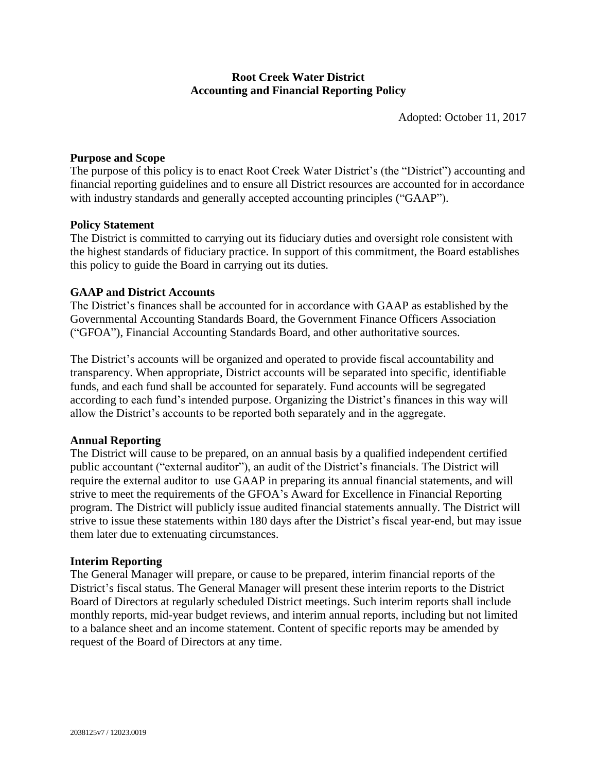# **Root Creek Water District Accounting and Financial Reporting Policy**

Adopted: October 11, 2017

### **Purpose and Scope**

The purpose of this policy is to enact Root Creek Water District's (the "District") accounting and financial reporting guidelines and to ensure all District resources are accounted for in accordance with industry standards and generally accepted accounting principles ("GAAP").

#### **Policy Statement**

The District is committed to carrying out its fiduciary duties and oversight role consistent with the highest standards of fiduciary practice. In support of this commitment, the Board establishes this policy to guide the Board in carrying out its duties.

### **GAAP and District Accounts**

The District's finances shall be accounted for in accordance with GAAP as established by the Governmental Accounting Standards Board, the Government Finance Officers Association ("GFOA"), Financial Accounting Standards Board, and other authoritative sources.

The District's accounts will be organized and operated to provide fiscal accountability and transparency. When appropriate, District accounts will be separated into specific, identifiable funds, and each fund shall be accounted for separately. Fund accounts will be segregated according to each fund's intended purpose. Organizing the District's finances in this way will allow the District's accounts to be reported both separately and in the aggregate.

#### **Annual Reporting**

The District will cause to be prepared, on an annual basis by a qualified independent certified public accountant ("external auditor"), an audit of the District's financials. The District will require the external auditor to use GAAP in preparing its annual financial statements, and will strive to meet the requirements of the GFOA's Award for Excellence in Financial Reporting program. The District will publicly issue audited financial statements annually. The District will strive to issue these statements within 180 days after the District's fiscal year-end, but may issue them later due to extenuating circumstances.

#### **Interim Reporting**

The General Manager will prepare, or cause to be prepared, interim financial reports of the District's fiscal status. The General Manager will present these interim reports to the District Board of Directors at regularly scheduled District meetings. Such interim reports shall include monthly reports, mid-year budget reviews, and interim annual reports, including but not limited to a balance sheet and an income statement. Content of specific reports may be amended by request of the Board of Directors at any time.